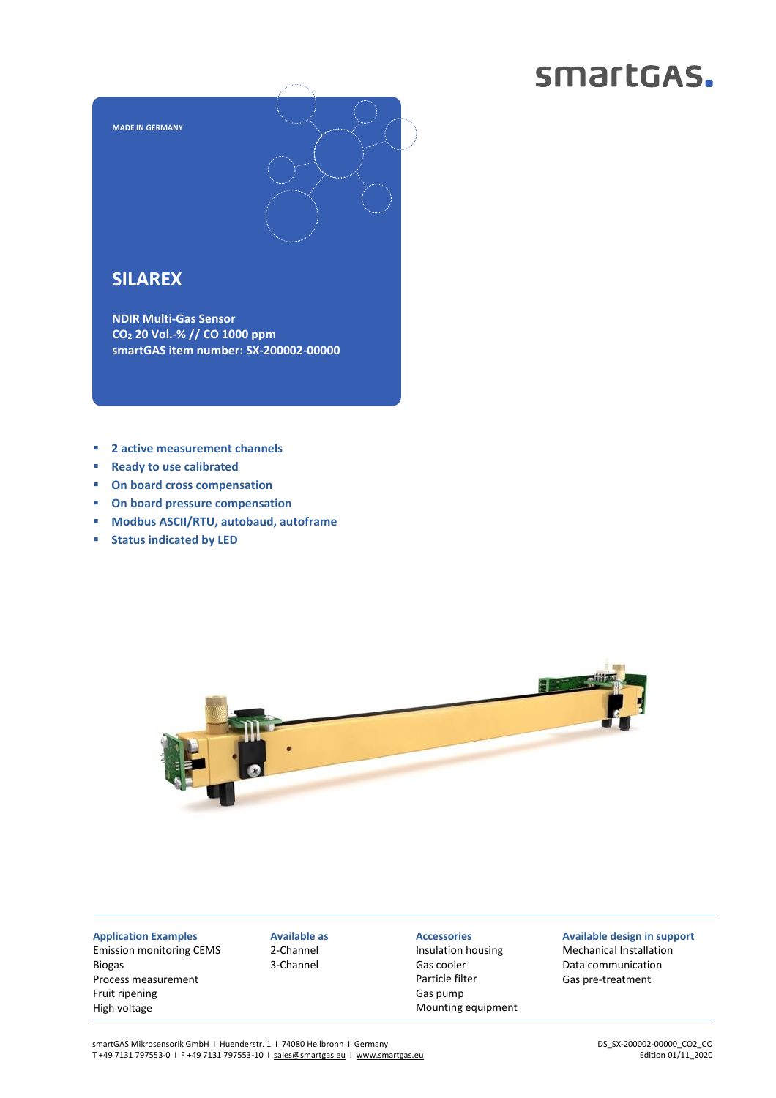## smartGAS.



### **SILAREX**

**NDIR Multi-Gas Sensor CO<sup>2</sup> 20 Vol.-% // CO 1000 ppm smartGAS item number: SX-200002-00000**

- **2 active measurement channels**
- **Ready to use calibrated**
- **On board cross compensation**
- **On board pressure compensation**
- **Modbus ASCII/RTU, autobaud, autoframe**
- **Status indicated by LED**



**Application Examples** Emission monitoring CEMS Biogas Process measurement Fruit ripening High voltage

**Available as** 2-Channel 3-Channel

### **Accessories**

Insulation housing Gas cooler Particle filter Gas pump Mounting equipment

**Available design in support** Mechanical Installation Data communication Gas pre-treatment

smartGAS Mikrosensorik GmbH | Huenderstr. 1 | 74080 Heilbronn | Germany T +49 7131 797553-0 I F +49 7131 797553-10 I [sales@smartgas.eu](mailto:sales@smartgas.eu) I [www.smartgas.eu](http://www.smartgas.eu/)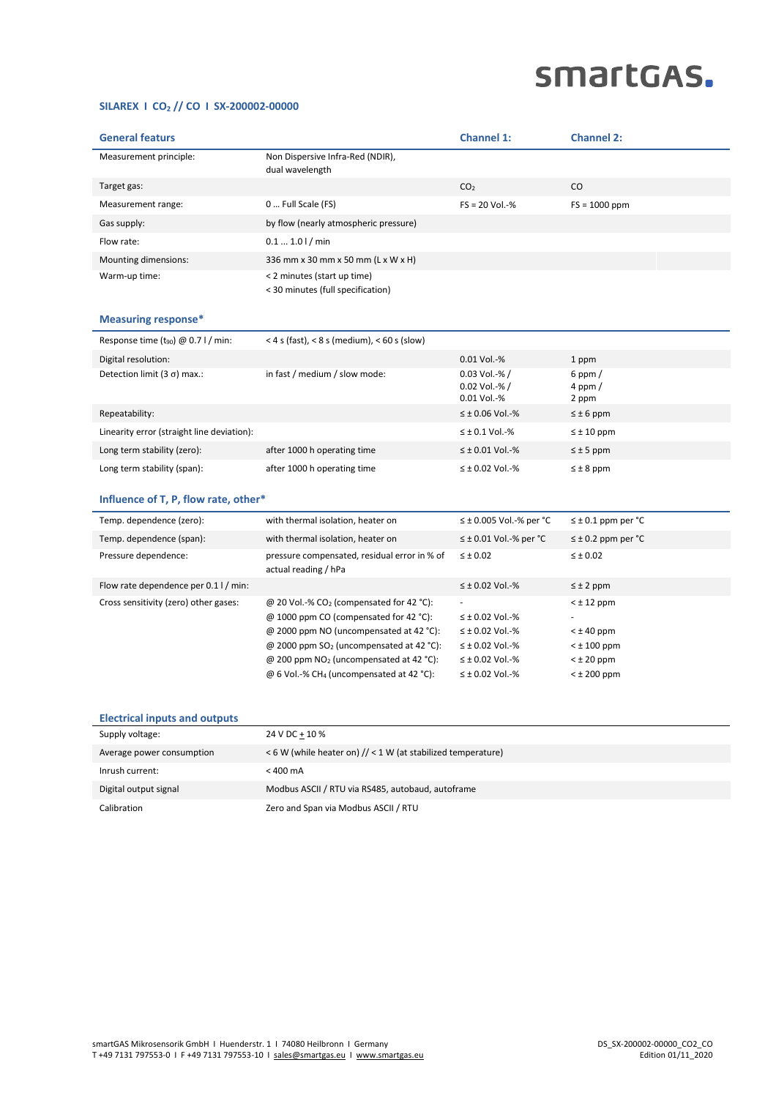# smartGAS.

#### **SILAREX I CO<sup>2</sup> // CO I SX-200002-00000**

| <b>General featurs</b>                          |                                                                                                                                                                                                                                                                                                                   | <b>Channel 1:</b>                                                                                                              | <b>Channel 2:</b>                                                                                  |  |
|-------------------------------------------------|-------------------------------------------------------------------------------------------------------------------------------------------------------------------------------------------------------------------------------------------------------------------------------------------------------------------|--------------------------------------------------------------------------------------------------------------------------------|----------------------------------------------------------------------------------------------------|--|
| Measurement principle:                          | Non Dispersive Infra-Red (NDIR),<br>dual wavelength                                                                                                                                                                                                                                                               |                                                                                                                                |                                                                                                    |  |
| Target gas:                                     |                                                                                                                                                                                                                                                                                                                   | CO <sub>2</sub>                                                                                                                | $\rm CO$                                                                                           |  |
| Measurement range:                              | 0  Full Scale (FS)                                                                                                                                                                                                                                                                                                | $FS = 20$ Vol.-%                                                                                                               | $FS = 1000$ ppm                                                                                    |  |
| Gas supply:                                     | by flow (nearly atmospheric pressure)                                                                                                                                                                                                                                                                             |                                                                                                                                |                                                                                                    |  |
| Flow rate:                                      | $0.11.01/$ min                                                                                                                                                                                                                                                                                                    |                                                                                                                                |                                                                                                    |  |
| Mounting dimensions:                            | 336 mm x 30 mm x 50 mm (L x W x H)                                                                                                                                                                                                                                                                                |                                                                                                                                |                                                                                                    |  |
| Warm-up time:                                   | < 2 minutes (start up time)<br>< 30 minutes (full specification)                                                                                                                                                                                                                                                  |                                                                                                                                |                                                                                                    |  |
| <b>Measuring response*</b>                      |                                                                                                                                                                                                                                                                                                                   |                                                                                                                                |                                                                                                    |  |
| Response time (t <sub>90</sub> ) @ 0.7 l / min: | $<$ 4 s (fast), $<$ 8 s (medium), $<$ 60 s (slow)                                                                                                                                                                                                                                                                 |                                                                                                                                |                                                                                                    |  |
| Digital resolution:                             |                                                                                                                                                                                                                                                                                                                   | 0.01 Vol.-%                                                                                                                    | 1 ppm                                                                                              |  |
| Detection limit (3 $\sigma$ ) max.:             | in fast / medium / slow mode:                                                                                                                                                                                                                                                                                     | $0.03$ Vol.-% /<br>0.02 Vol.-% /<br>0.01 Vol.-%                                                                                | 6 ppm $/$<br>$4$ ppm $/$<br>2 ppm                                                                  |  |
| Repeatability:                                  |                                                                                                                                                                                                                                                                                                                   | $\leq \pm 0.06$ Vol.-%                                                                                                         | $\leq \pm 6$ ppm                                                                                   |  |
| Linearity error (straight line deviation):      |                                                                                                                                                                                                                                                                                                                   | $\leq$ ± 0.1 Vol.-%                                                                                                            | $\leq \pm 10$ ppm                                                                                  |  |
| Long term stability (zero):                     | after 1000 h operating time                                                                                                                                                                                                                                                                                       | $\leq \pm 0.01$ Vol.-%                                                                                                         | $\leq \pm 5$ ppm                                                                                   |  |
| Long term stability (span):                     | after 1000 h operating time                                                                                                                                                                                                                                                                                       | $\leq \pm 0.02$ Vol.-%                                                                                                         | $\leq \pm 8$ ppm                                                                                   |  |
| Influence of T, P, flow rate, other*            |                                                                                                                                                                                                                                                                                                                   |                                                                                                                                |                                                                                                    |  |
| Temp. dependence (zero):                        | with thermal isolation, heater on                                                                                                                                                                                                                                                                                 | $\leq \pm$ 0.005 Vol.-% per °C                                                                                                 | $\leq \pm 0.1$ ppm per °C                                                                          |  |
| Temp. dependence (span):                        | with thermal isolation, heater on                                                                                                                                                                                                                                                                                 | $\leq \pm 0.01$ Vol.-% per °C                                                                                                  | $\leq \pm 0.2$ ppm per °C                                                                          |  |
| Pressure dependence:                            | pressure compensated, residual error in % of<br>actual reading / hPa                                                                                                                                                                                                                                              | $\leq \pm 0.02$                                                                                                                | $\leq \pm 0.02$                                                                                    |  |
| Flow rate dependence per 0.1 l / min:           |                                                                                                                                                                                                                                                                                                                   | $\leq \pm 0.02$ Vol.-%                                                                                                         | $\leq \pm 2$ ppm                                                                                   |  |
| Cross sensitivity (zero) other gases:           | @ 20 Vol.-% CO <sub>2</sub> (compensated for 42 °C):<br>@ 1000 ppm CO (compensated for 42 °C):<br>@ 2000 ppm NO (uncompensated at 42 °C):<br>@ 2000 ppm SO <sub>2</sub> (uncompensated at 42 °C):<br>@ 200 ppm NO <sub>2</sub> (uncompensated at 42 °C):<br>$@6$ Vol.-% CH <sub>4</sub> (uncompensated at 42 °C): | $\leq \pm 0.02$ Vol.-%<br>$\leq \pm 0.02$ Vol.-%<br>$\leq \pm 0.02$ Vol.-%<br>$\leq \pm 0.02$ Vol.-%<br>$\leq \pm 0.02$ Vol.-% | $<$ $\pm$ 12 ppm<br>$<$ $\pm$ 40 ppm<br>$<$ $\pm$ 100 ppm<br>$<$ $\pm$ 20 ppm<br>$<$ $\pm$ 200 ppm |  |
|                                                 |                                                                                                                                                                                                                                                                                                                   |                                                                                                                                |                                                                                                    |  |

### **Electrical inputs and outputs**

| Supply voltage:           | 24 V DC + 10 %                                              |
|---------------------------|-------------------------------------------------------------|
| Average power consumption | <6 W (while heater on) // < 1 W (at stabilized temperature) |
| Inrush current:           | $< 400 \text{ mA}$                                          |
| Digital output signal     | Modbus ASCII / RTU via RS485, autobaud, autoframe           |
| Calibration               | Zero and Span via Modbus ASCII / RTU                        |